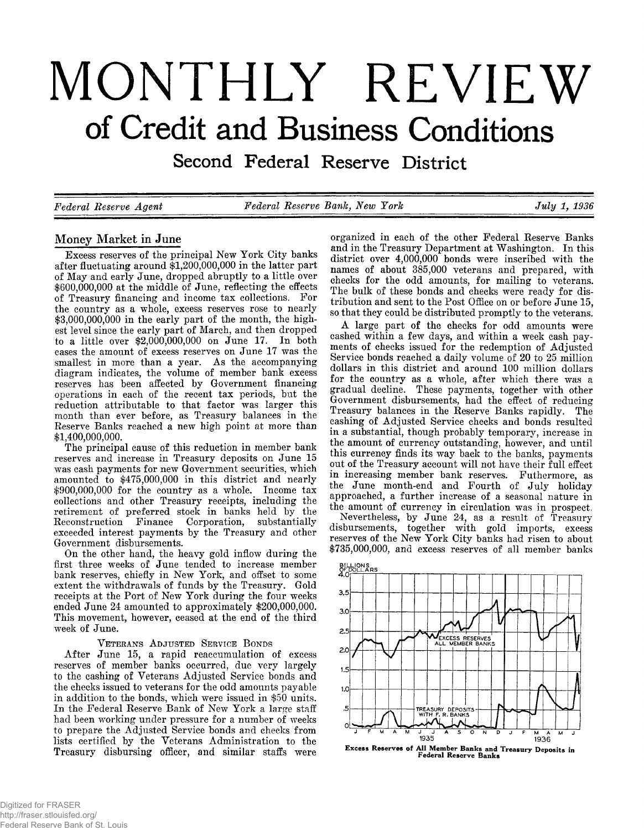# **MONTHLY REVIEW of Credit and Business Conditions**

**Second Federal Reserve District**

*Federal Eeserve Agent Federal Eeserve Bank, New York July 1, 1936*

# **Money Market in June**

Excess reserves of the principal New York City banks<br>after fluctuating around \$1,200,000,000 in the latter part<br>of May and early June, dropped abruptly to a little over<br>\$600,000,000 in the middle of June, reflecting the e

VETERANS ADJUSTED SERVICE BONDS<br>After June 15, a rapid reaccumulation of excess<br>reserves of member banks occurred, due very largely<br>to the cashing of Veterans Adjusted Service bonds and<br>the checks issued to veterans for th

organized in each of the other Federal Reserve Banks<br>and in the Treasury Department at Washington. In this<br>district over 4,000,000 bonds were inscribed with the<br>names of about 385,000 veterans and prepared, with<br>checks for

A large part of the checks for odd amounts were<br>cashed within a few days, and within a week cash pay-<br>ments of checks issued for the redemption of Adjusted<br>Service bonds reached a daily volume of 20 to 25 million<br>dollars i

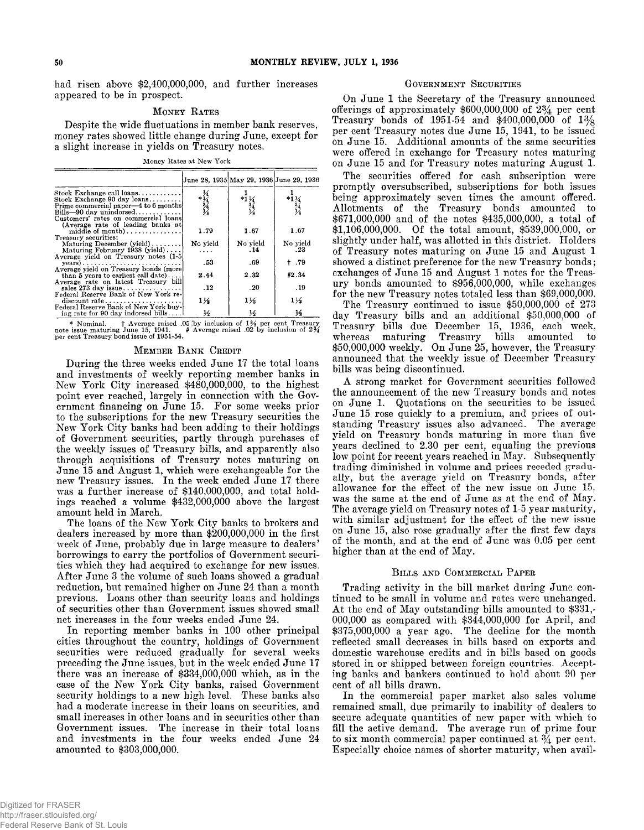**had risen above \$2,400,000,000, and further increases appeared to be in prospect.**

#### **Money Rates**

**<sup>D</sup>espite the wide fluctuations in member bank reserves, money rates showed little change during June, except for a slight increase in yields on Treasury notes.**

Money Rates at New York

|                                                                                                                                                                         |                            |                 | June 28, 1935 May 29, 1936 June 29, 1936 |
|-------------------------------------------------------------------------------------------------------------------------------------------------------------------------|----------------------------|-----------------|------------------------------------------|
| Stock Exchange call loans<br>Stock Exchange 90 day loans<br>Prime commercial paper—4 to 6 months<br>$Bills - 90$ day unindorsed<br>Customers' rates on commercial loans | $*1/4$<br>$*3/4$<br>$*4/5$ | $*1\frac{1}{3}$ | $*1\frac{1}{4}$                          |
| (Average rate of leading banks at<br>middle of month)<br>Treasury securities:                                                                                           | 1.79                       | 1.67            | 1.67                                     |
| Maturing December $(yield) \ldots \ldots$<br>Maturing February 1938 (yield)                                                                                             | No yield<br>.              | No yield<br>.14 | No yield<br>.23                          |
| Average yield on Treasury notes (1-5)<br>$years) \ldots \ldots \ldots \ldots \ldots \ldots \ldots \ldots$<br>Average yield on Treasury bonds (more                      | .53                        | .69             | † .79                                    |
| than $5$ years to earliest call date)                                                                                                                                   | 2.44                       | 2.32            | #2.34                                    |
| Average rate on latest Treasury bill<br>sales 273 day issue                                                                                                             | .12                        | .20             | . 19                                     |
| Federal Reserve Bank of New York re-<br>$discount rate \dots \dots \dots \dots \dots \dots$<br>Federal Reserve Bank of New York buy-                                    | 11⁄2                       | $1\frac{1}{2}$  | $1\frac{1}{2}$                           |
| ing rate for 90 day indorsed bills                                                                                                                                      | $\frac{1}{2}$              | ⅓               | ⅓                                        |

\* Nom inal. f -Average raised .05 b y inclusion of *l z/%* per cent Treasury note issue m aturing June 15, 1941. # Average raised .02 by inclusion of *2%* per cent Treasury bond issue of 1951-54.

#### **Member Bank Credit**

During the three weeks ended June 17 the total loans<br>and investments of weekly reporting member banks in<br>New York City increased #450,000,000, to the highest<br>point ever reached, largely in connection with the Gov-<br>ernment

#### GOVERNMENT SECURITIES

On June 1 the Secretary of the Treasury announced<br>offerings of approximately  $$600,000,000$  of  $2\frac{3}{4}$  per cent<br>Treasury bonds of 1951-54 and  $$400,000,000$  of  $1\frac{3}{8}$ <br>per cent Treasury notes due June 15, 1941, to b

The securities offered for eash subscription were<br>promptly oversulties offered for eash subscription were<br>pheig approximately seven times the amount offered.<br>Allotments of the Treasury bonds amounted to<br> $$871,000,0000$  an

#### **Billsand Commercial Paper**

Trading activity in the bill market during June con-<br>tinued to be small in volume and rates were unchanged.<br>At the end of May outstanding bills amounted to \$331,-000,000 as compared with \$344,000,000 for April, and<br>\$375,0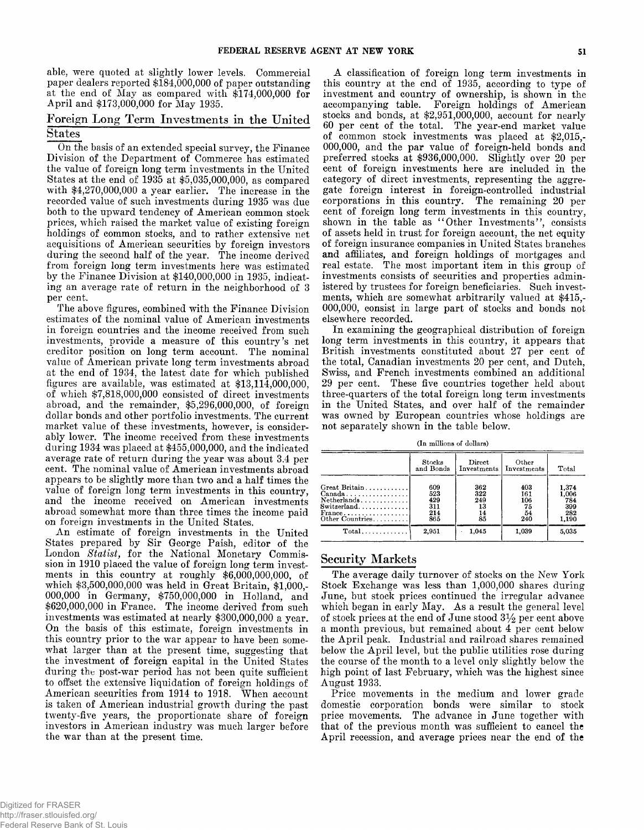able, were quoted at slightly lower levels. Commercial paper dealers reported \$184,000,000 of paper outstanding at the end of May as compared with \$174,000,000 for April and \$173,000,000 for May 1935.

# **Foreign Long Term Investments in the United States**

To the basis of an extended special survey, the Finance Commerce has estimated the velocit the relation of the Department of Commerce has estimated the virtual state as the consign on the Uniter the state and the consign

A classification of foreign long term investments in<br>this country at the end of 1995, according to type of<br>investment and country of ownership, is shown in the<br>accompanying table. Foreign holdings of American<br>stocks and b

(In millions of dollars)

|                                                                                                                         | Stocks<br>and Bonds                    | Direct<br>Investments                                      | Other<br>Investments                 | Total                                        |
|-------------------------------------------------------------------------------------------------------------------------|----------------------------------------|------------------------------------------------------------|--------------------------------------|----------------------------------------------|
| Great Britain<br>$Canada \ldots \ldots \ldots \ldots \ldots$<br>Netherlands<br>Switzerland<br>France<br>Other Countries | 609<br>523<br>429<br>311<br>214<br>865 | 362<br>322<br>249<br>13<br>14<br>$\bar{\bf 8} \bar{\bf 5}$ | 403<br>161<br>106<br>75<br>54<br>240 | 1,374<br>1,006<br>784<br>399<br>282<br>1.190 |
| $Total$                                                                                                                 | 2.951                                  | 1.045                                                      | 1.039                                | 5,035                                        |

# **Security Markets**

The average daily turnover of stocks on the New York<br>Stock Exchange was less than 1,000,000 shares during<br>June, but stock prices continued the irregular advance<br>which began in early May. As a result the general level<br>of s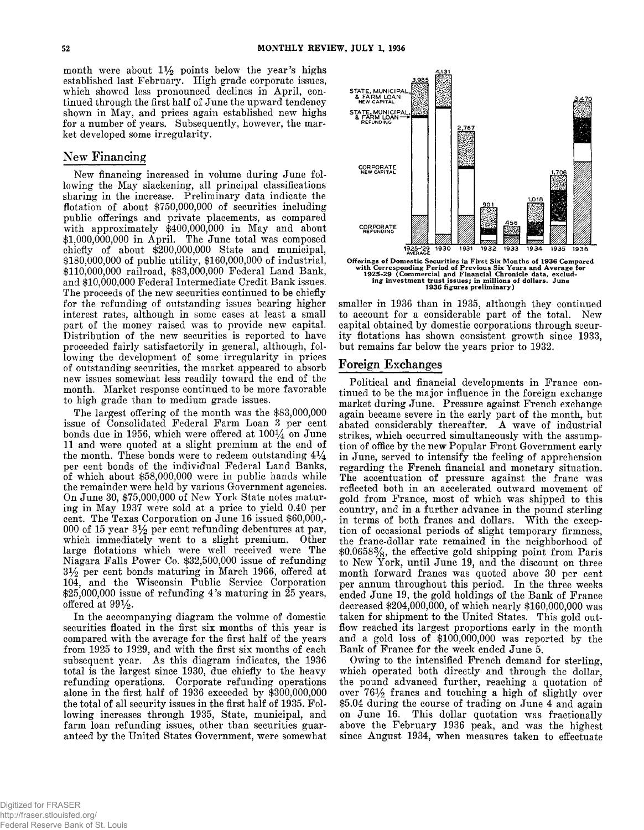month were about  $1\frac{1}{2}$  points below the year's highs established last February. High grade corporate issues, which showed less pronounced declines in April, continued through the first half of June the upward tendency shown in May, and prices again established new highs for a number of years. Subsequently, however, the market developed some irregularity.

# New Financing

New financing increased in volume during June following the May slackening, all principal classifications sharing in the increase. Preliminary data indicate the flotation of about  $$750,000,000$  of securities including public offerings and private placements, as compared with approximately  $$400,000,000$  in May and about  $$1,000,000,000$  in April. The June total was composed chiefly of about  $$200,000,000$  State and municipal, \$180,000,000 of public utility, \$160,000,000 of industrial, \$110,000,000 railroad, \$83,000,000 Federal Land Bank, and \$10,000,000 Federal Intermediate Credit Bank issues. The proceeds of the new securities continued to be chiefly for the refunding of outstanding issues bearing higher interest rates, although in some cases at least a small part of the money raised was to provide new capital. Distribution of the new securities is reported to have proceeded fairly satisfactorily in general, although, following the development of some irregularity in prices of outstanding securities, the market appeared to absorb new issues somewhat less readily toward the end of the month. Market response continued to be more favorable to high grade than to medium grade issues.

The largest offering of the month was the \$83,000,000 issue of Consolidated Federal Farm Loan 3 per cent<br>bonds due in 1956, which were offered at  $100\frac{1}{4}$  on June 11 and were quoted at a slight premium at the end of the month. These bonds were to redeem outstanding  $4\frac{1}{4}$ per cent bonds of the individual Federal Land Banks, of which about  $$58,000,000$  were in public hands while the remainder were held by various Government agencies. On June 30, \$75,000,000 of New York State notes maturing in May 1937 were sold at a price to yield 0.40 per cent. The Texas Corporation on June 16 issued \$60,000,-000 of 15 year  $3\frac{1}{2}$  per cent refunding debentures at par, which immediately went to a slight premium. Other large flotations which were well received were The Niagara Falls Power Co. \$32,500,000 issue of refunding  $3\frac{1}{2}$  per cent bonds maturing in March 1966, offered at 104, and the Wisconsin Public Service Corporation  $$25,000,000$  issue of refunding 4's maturing in 25 years, offered at  $99\frac{1}{2}$ .

In the accompanying diagram the volume of domestic securities floated in the first six months of this year is compared with the average for the first half of the years from 1925 to 1929, and with the first six months of each subsequent year. As this diagram indicates, the 1936 total is the largest since 1930, due chiefly to the heavy refunding operations. Corporate refunding operations alone in the first half of  $1936$  exceeded by \$300,000,000 the total of all security issues in the first half of 1935. Following increases through 1935, State, municipal, and farm loan refunding issues, other than securities guaranteed by the United States Government, were somewhat



smaller in 1936 than in 1935, although they continued to account for a considerable part of the total. New capital obtained by domestic corporations through security flotations has shown consistent growth since 1933, but remains far below the years prior to 1932.

#### Foreign Exchanges

Political and financial developments in France continued to be the major influence in the foreign exchange market during June. Pressure against French exchange again became severe in the early part of the month, but abated considerably thereafter. A wave of industrial strikes, which occurred simultaneously with the assumption of office by the new Popular Front Government early in June, served to intensify the feeling of apprehension regarding the French financial and monetary situation. The accentuation of pressure against the franc was reflected both in an accelerated outward movement of gold from France, most of which was shipped to this country, and in a further advance in the pound sterling in terms of both francs and dollars. With the exception of occasional periods of slight temporary firmness, the franc-dollar rate remained in the neighborhood of  $$0.0658\%$ , the effective gold shipping point from Paris to New York, until June 19, and the discount on three month forward francs was quoted above 30 per cent per annum throughout this period. In the three weeks ended June 19, the gold holdings of the Bank of France decreased  $$204,000,000$ , of which nearly  $$160,000,000$  was taken for shipment to the United States. This gold outflow reached its largest proportions early in the month and a gold loss of  $$100,000,000$  was reported by the Bank of France for the week ended June 5.

Owing to the intensified French demand for sterling, which operated both directly and through the dollar, the pound advanced further, reaching a quotation of over  $76\frac{1}{2}$  francs and touching a high of slightly over \$5.04 during the course of trading on June 4 and again<br>on June 16. This dollar quotation was fractionally This dollar quotation was fractionally above the February 1936 peak, and was the highest since August 1934, when measures taken to effectuate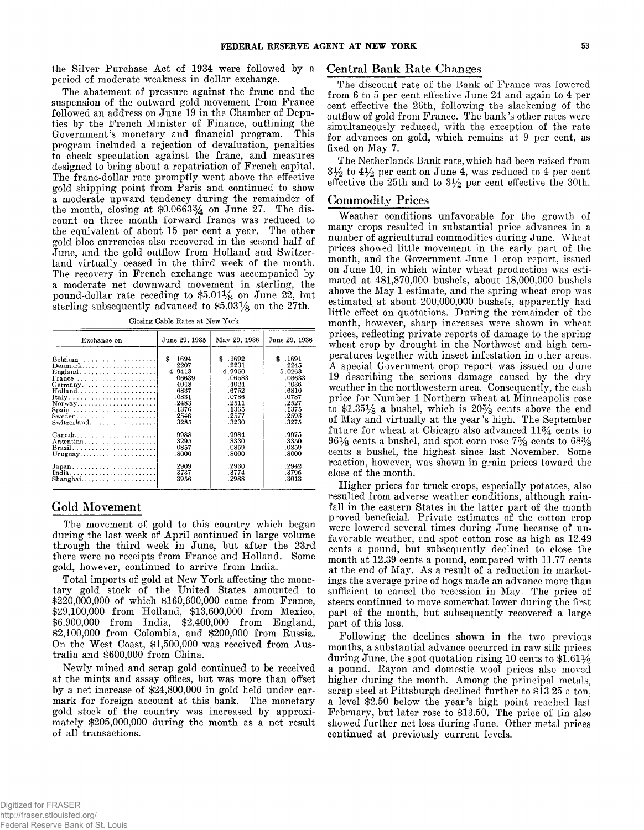the Silver Purchase Act of 1934 were followed by a period of moderate weakness in dollar exchange.

The abatement of pressure against the franc and the suspension of the outward gold movement from France followed an address on June 19 in the Chamber of Deputies by the French Minister of Finance, outlining the Government's monetary and financial program. This program included a rejection of devaluation, penalties to check speculation against the franc, and measures designed to bring about a repatriation of French capital. The franc-dollar rate promptly went above the effective gold shipping point from Paris and continued to show a moderate upward tendency during the remainder of the month, closing at  $$0.0663\frac{3}{4}$  on June 27. The discount on three month forward francs was reduced to the equivalent of about 15 per cent a year. The other gold bloc currencies also recovered in the second half of June, and the gold outflow from Holland and Switzerland virtually ceased in the third week of the month. The recovery in French exchange was accompanied by a moderate net downward movement in sterling, the pound-dollar rate receding to  $$5.01\frac{1}{8}$  on June 22, but sterling subsequently advanced to  $$5.03\frac{1}{8}$  on the 27th.

Closing Cable Rates at New York

| Exchange on                                                     | June 29, 1935 | May 29, 1936 | June 29. 1936 |
|-----------------------------------------------------------------|---------------|--------------|---------------|
|                                                                 | \$ .1694      | \$1692       | \$1691        |
| Denmark                                                         | .2207         | .2231        | .2245         |
| England                                                         | 4.9413        | 4.9950       | 5.0263        |
| France                                                          | .06639        | .06583       | .06633        |
| Germany                                                         | .4048         | .4024        | .4036         |
|                                                                 | .6837         | .6752        | .6810         |
|                                                                 | .0831         | .0786        | .0787         |
| Norway                                                          | .2483         | .2511        | .2527         |
| Spain                                                           | .1376         | . 1365       | .1375         |
| Sweden                                                          | . 2546        | .2577        | .2593         |
| Switzerland                                                     | .3285         | .3230        | .3275         |
| $\text{Canada} \dots \dots \dots \dots \dots \dots \dots \dots$ | .9988         | .9984        | .9975         |
| Argentina                                                       | .3295         | .3330        | .3350         |
| Brazil                                                          | .0857         | .0859        | .0859         |
| Uruguay                                                         | .8000         | .8000        | .8000         |
| $Japan \ldots \ldots \ldots \ldots \ldots \ldots \ldots$        | .2909         | .2930        | .2942         |
| India                                                           | .3737         | .3774        | .3796         |
|                                                                 | .3956         | .2988        | .3013         |

# Gold Movement

The movement of gold to this country which began during the last week of April continued in large volume through the third week in June, but after the 23rd there were no receipts from France and Holland. Some gold, however, continued to arrive from India.

Total imports of gold at New York affecting the monetary gold stock of the United States amounted to  $$220,000,000$  of which  $$160,600,000$  came from France, \$29,100,000 from Holland, \$13,600,000 from Mexico, \$6,900,000 from India, \$2,400,000 from England,  $$2,100,000$  from Colombia, and  $$200,000$  from Russia. On the West Coast, \$1,500,000 was received from Australia and \$600,000 from China.

Newly mined and scrap gold continued to be received at the mints and assay offices, but was more than offset by a net increase of  $$24,800,000$  in gold held under earmark for foreign account at this bank. The monetary gold stock of the country was increased by approximately  $$205,000,000$  during the month as a net result of all transactions.

# Central Bank Rate Changes

The discount rate of the Bank of France was lowered from 6 to 5 per cent effective June 24 and again to 4 per cent effective the 26th, following the slackening of the out flow of gold from France. The bank's other rates were simultaneously reduced, with the exception of the rate for advances on gold, which remains at 9 per cent, as fixed on May 7.

The Netherlands Bank rate, which had been raised from  $3\frac{1}{2}$  to  $4\frac{1}{2}$  per cent on June 4, was reduced to 4 per cent effective the 25th and to  $3\frac{1}{2}$  per cent effective the 30th.

### Commodity Prices

Weather conditions unfavorable for the growth of many crops resulted in substantial price advances in a number of agricultural commodities during June. Wheat prices showed little movement in the early part of the month, and the Government June 1 crop report, issued on June 10, in which winter wheat production was estimated at 481,870,000 bushels, about 18,000,000 bushels above the May 1 estimate, and the spring wheat crop was estimated at about 200,000,000 bushels, apparently had little effect on quotations. During the remainder of the month, however, sharp increases were shown in wheat prices, reflecting private reports of damage to the spring wheat crop by drought in the Northwest and high temperatures together with insect infestation in other areas. A special Government crop report was issued on June 19 describing the serious damage caused by the dry weather in the northwestern area. Consequently, the cash price for Number 1 Northern wheat at Minneapolis rose to  $$1.35\frac{1}{8}$  a bushel, which is  $20\frac{5}{8}$  cents above the end of May and virtually at the year's high. The September future for wheat at Chicago also advanced  $11\frac{3}{4}$  cents to  $96\frac{1}{8}$  cents a bushel, and spot corn rose  $7\frac{5}{8}$  cents to  $68\frac{3}{8}$ cents a bushel, the highest since last November. Some reaction, however, was shown in grain prices toward the close of the month.

Higher prices for truck crops, especially potatoes, also resulted from adverse weather conditions, although rainfall in the eastern States in the latter part of the month proved beneficial. Private estimates of the cotton crop were lowered several times during June because of unfavorable weather, and spot cotton rose as high as  $12.49$ cents a pound, but subsequently declined to close the month at 12.39 cents a pound, compared with 11.77 cents at the end of May. As a result of a reduction in marketings the average price of hogs made an advance more than sufficient to cancel the recession in May. The price of steers continued to move somewhat lower during the first part of the month, but subsequently recovered a large part of this loss.

Following the declines shown in the two previous months, a substantial advance occurred in raw silk prices during June, the spot quotation rising 10 cents to  $$1.61\frac{1}{2}$ a pound. Rayon and domestic wool prices also moved higher during the month. Among the principal metals, scrap steel at Pittsburgh declined further to \$13.25 a ton, a level \$2.50 below the year's high point reached last February, but later rose to \$13.50. The price of tin also showed further net loss during June. Other metal prices continued at previously current levels.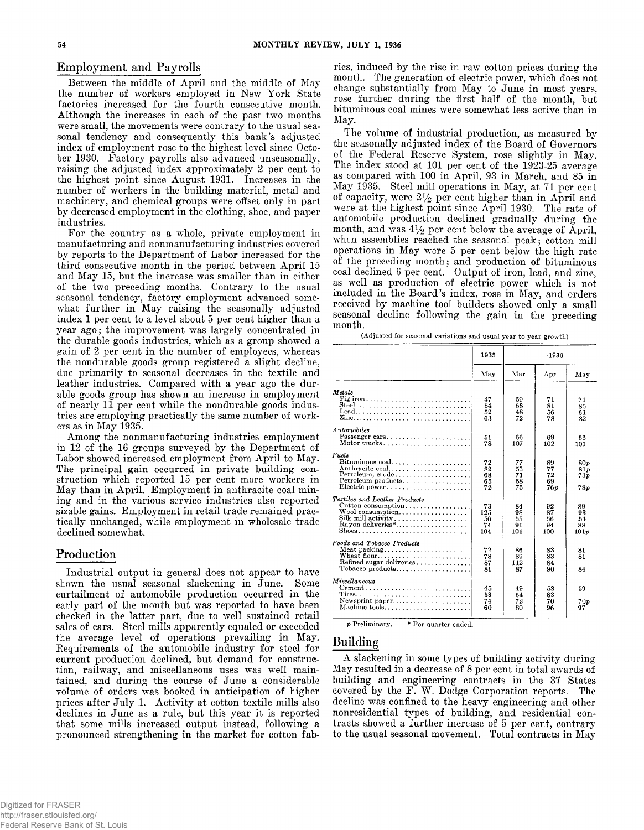Between the middle of April and the middle of May the number of workers employed in New York State factories increased for the fourth consecutive month. Although the increases in each of the past two months were small, the movements were contrary to the usual seasonal tendency and consequently this bank's adjusted index of employment rose to the highest level since October 1930. Factory payrolls also advanced unseasonally, raising the adjusted index approximately 2 per cent to the highest point since August 1931. Increases in the number of workers in the building material, metal and machinery, and chemical groups were offset only in part by decreased employment in the clothing, shoe, and paper industries.

For the country as a whole, private employment in manufacturing and nonmanufacturing industries covered by reports to the Department of Labor increased for the third consecutive month in the period between April 15 and May 15, but the increase was smaller than in either of the two preceding months. Contrary to the usual seasonal tendency, factory employment advanced somewhat further in May raising the seasonally adjusted index 1 per cent to a level about 5 per cent higher than a year ago; the improvement was largely concentrated in the durable goods industries, which as a group showed a gain of 2 per cent in the number of employees, whereas the nondurable goods group registered a slight decline, due primarily to seasonal decreases in the textile and leather industries. Compared with a year ago the durable goods group has shown an increase in employment of nearly 11 per cent while the nondurable goods industries are employing practically the same number of workers as in May 1935.

Among the nonmanufacturing industries employment in 12 of the 16 groups surveyed by the Department of Labor showed increased employment from April to May. The principal gain occurred in private building construction which reported 15 per cent more workers in May than in April. Employment in anthracite coal mining and in the various service industries also reported sizable gains. Employment in retail trade remained practically unchanged, while employment in wholesale trade declined somewhat.

# Production

Industrial output in general does not appear to have shown the usual seasonal slackening in June. Some curtailment of automobile production occurred in the early part of the month but was reported to have been checked in the latter part, due to well sustained retail sales of cars. Steel mills apparently equaled or exceeded the average level of operations prevailing in May. Requirements of the automobile industry for steel for current production declined, but demand for construction, railway, and miscellaneous uses was well maintained, and during the course of June a considerable volume of orders was booked in anticipation of higher prices after July 1. Activity at cotton textile mills also declines in June as a rule, but this year it is reported that some mills increased output instead, following a pronounced strengthening in the market for cotton fab-

Employment and Payrolls ries, induced by the rise in raw cotton prices during the month. The generation of electric power, which does not change substantially from May to June in most years, rose further during the first half of the month, but bituminous coal mines were somewhat less active than in May.

> The volume of industrial production, as measured by the seasonally adjusted index of the Board of Governors of the Federal Reserve System, rose slightly in May. The index stood at 101 per cent of the  $1923-25$  average as compared with 100 in April, 93 in March, and 85 in May 1935. Steel mill operations in May, at 71 per cent of capacity, were  $2\frac{1}{2}$  per cent higher than in April and were at the highest point since April 1930. The rate of automobile production declined gradually during the month, and was  $4\frac{1}{2}$  per cent below the average of April, when assemblies reached the seasonal peak; cotton mill operations in May were 5 per cent below the high rate of the preceding month; and production of bituminous coal declined 6 per cent. Output of iron, lead, and zinc, as well as production of electric power which is not included in the Board's index, rose in May, and orders received by machine tool builders showed only a small seasonal decline following the gain in the preceding month.

(Adjusted for seasonal variations and usual year to year growth)

|                                                                                                                                         | 1935                         | $-1936$                     |                             |                              |
|-----------------------------------------------------------------------------------------------------------------------------------------|------------------------------|-----------------------------|-----------------------------|------------------------------|
|                                                                                                                                         | May                          | Mar.                        | Apr.                        | May                          |
| Metals<br>Pig iron<br>Lead<br>Zine                                                                                                      | 47<br>54<br>52<br>63         | 59<br>68<br>48<br>72        | 71<br>81<br>56<br>78        | 71<br>85<br>61<br>82         |
| Automobiles<br>Passenger cars<br>Motor trucks                                                                                           | 51<br>78                     | 66<br>107                   | 69<br>102                   | 66<br>101                    |
| Fuels<br>$Bituminous coal.$<br>Anthracite coal<br>Petroleum, crude<br>Electric power                                                    | 72<br>82<br>68<br>65<br>72   | 77<br>53<br>71<br>68<br>75  | 89<br>77<br>72<br>69<br>76p | 80 v<br>81p<br>73p<br>78p    |
| Textiles and Leather Products<br>Cotton consumption<br>Wool consumption<br>Silk mill activity<br>Rayon deliveries <sup>*</sup><br>Shoes | 73<br>125<br>56<br>74<br>104 | 84<br>98<br>55<br>91<br>101 | 92<br>87<br>56<br>94<br>100 | 89<br>93<br>54<br>88<br>101p |
| Foods and Tobacco Products<br>Meat packing<br>Tobacco products                                                                          | 72<br>78<br>87<br>81         | 86<br>89<br>112<br>87       | 83<br>83<br>84<br>90        | 81<br>81<br>84               |
| Miscellaneous<br>$Cement \dots \dots \dots \dots \dots \dots \dots \dots \dots \dots$<br>Machine tools                                  | 45<br>53<br>74<br>60         | 49<br>64<br>72<br>80        | 58<br>83<br>70<br>96        | 59<br>70 p<br>97             |

p Preliminary. \* For quarter ended.

# Building

A slackening in some types of building activity during May resulted in a decrease of 8 per cent in total awards of building and engineering contracts in the 37 States covered by the F. W. Dodge Corporation reports. The decline was confined to the heavy engineering and other non residential types of building, and residential contracts showed a further increase of 5 per cent, contrary to the usual seasonal movement. Total contracts in May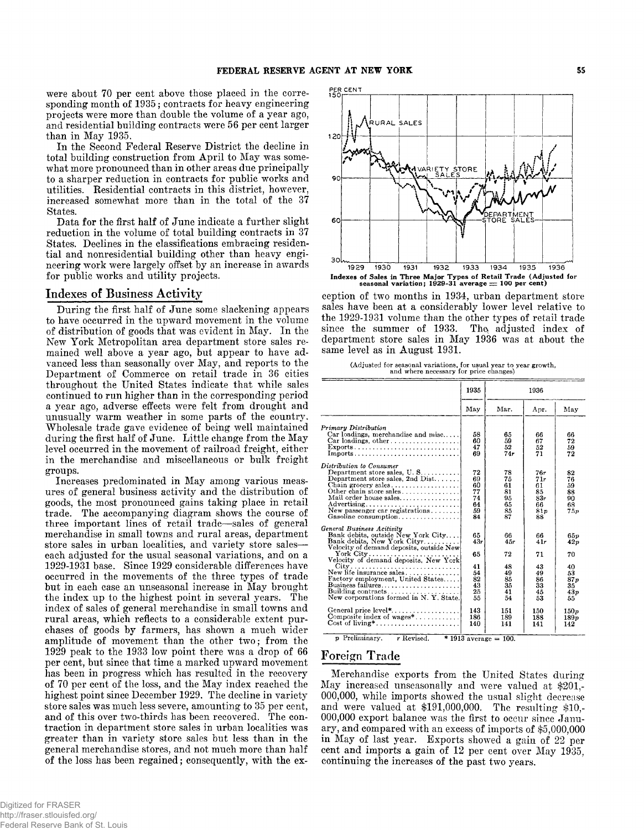were about 70 per cent above those placed in the corresponding month of 1935; contracts for heavy engineering projects were more than double the volume of a year ago, and residential building contracts were 56 per cent larger than in May 1935.

In the Second Federal Reserve District the decline in total building construction from April to May was somewhat more pronounced than in other areas due principally to a sharper reduction in contracts for public works and utilities. Residential contracts in this district, however, increased somewhat more than in the total of the 37 States.

Data for the first half of June indicate a further slight reduction in the volume of total building contracts in 37 States. Declines in the classifications embracing residential and nonresidential building other than heavy engineering work were largely offset by an increase in awards for public works and utility projects.

# Indexes of Business Activity

During the first half of June some slackening appears to have occurred in the upward movement in the volume of distribution of goods that was evident in May. In the New York Metropolitan area department store sales remained well above a year ago, but appear to have advanced less than seasonally over May, and reports to the Department of Commerce on retail trade in 36 cities throughout the United States indicate that while sales continued to run higher than in the corresponding period a year ago, adverse effects were felt from drought and unusually warm weather in some parts of the country. Wholesale trade gave evidence of being well maintained during the first half of June. Little change from the May level occurred in the movement of railroad freight, either in the merchandise and miscellaneous or bulk freight groups.

Increases predominated in May among various measures of general business activity and the distribution of goods, the most pronounced gains taking place in retail trade. The accompanying diagram shows the course of three important lines of retail trade—sales of general merchandise in small towns and rural areas, department store sales in urban localities, and variety store saleseach adjusted for the usual seasonal variations, and on a 1929-1931 base. Since 1929 considerable differences have occurred in the movements of the three types of trade but in each case an unseasonal increase in May brought the index up to the highest point in several years. The index of sales of general merchandise in small towns and rural areas, which reflects to a considerable extent purchases of goods by farmers, has shown a much wider amplitude of movement than the other two; from the  $1929$  peak to the 1933 low point there was a drop of 66 per cent, but since that time a marked upward movement has been in progress which has resulted in the recovery of 70 per cent of the loss, and the May index reached the highest point since December 1929. The decline in variety store sales was much less severe, amounting to 35 per cent. and of this over two-thirds has been recovered. The contraction in department store sales in urban localities was greater than in variety store sales but less than in the general merchandise stores, and not much more than half of the loss has been regained; consequently, with the ex-



ception of two months in 1934, urban department store sales have been at a considerably lower level relative to the 1929-1931 volume than the other types of retail trade since the summer of 1933. The adjusted index of department store sales in May 1936 was at about the same level as in August 1931.

|  | (Adjusted for seasonal variations, for usual year to year growth, |  |  |  |
|--|-------------------------------------------------------------------|--|--|--|
|  | and where necessary for price changes)                            |  |  |  |

|                                                                                                                                                                                                                                                                                                                                                                                                                                                | 1935                                                              | 1936                                                               |                                                                   |                                                                          |
|------------------------------------------------------------------------------------------------------------------------------------------------------------------------------------------------------------------------------------------------------------------------------------------------------------------------------------------------------------------------------------------------------------------------------------------------|-------------------------------------------------------------------|--------------------------------------------------------------------|-------------------------------------------------------------------|--------------------------------------------------------------------------|
|                                                                                                                                                                                                                                                                                                                                                                                                                                                | May                                                               | Mar.                                                               | Apr.                                                              | May                                                                      |
| Primary Distribution<br>Car loadings, merchandise and misc<br>Car loadings, other, $\ldots$ , $\ldots$ , $\ldots$<br>Exports<br>Imports                                                                                                                                                                                                                                                                                                        | 58<br>60<br>47<br>69                                              | 65<br>59<br>52<br>74r                                              | 66<br>67<br>52<br>71                                              | 66<br>72<br>59<br>72                                                     |
| Distribution to Consumer<br>Department store sales, $U, S, \ldots, \ldots$<br>Department store sales, 2nd $Dist$<br>Chain grocery sales<br>Other chain store sales<br>Mail order house sales<br>New passenger car registrations<br>Gasoline consumption                                                                                                                                                                                        | 72<br>69<br>60<br>77<br>74<br>64<br>59<br>84                      | 78<br>75<br>61<br>81<br>95<br>65<br>85<br>87                       | 76r<br>71r<br>61<br>85<br>83r<br>66<br>81p<br>88                  | 82<br>76<br>59<br>88<br>90<br>68<br>75p                                  |
| General Business Acitivity<br>Bank debits, outside New York City<br>Bank debits, New York Cityr<br>Velocity of demand deposits, outside New<br>New life insurance sales<br>Factory employment, United States<br>Building contracts<br>New corporations formed in N.Y. State.<br>General price $level^*, \ldots, \ldots, \ldots, \ldots$<br>Composite index of wages <sup>*</sup><br>$Cost of living^*, \ldots, \ldots, \ldots, \ldots, \ldots$ | 65<br>43r<br>65<br>41<br>54<br>82<br>43<br>25<br>55<br>143<br>186 | 66<br>4.5r<br>72<br>48<br>49<br>85<br>35<br>41<br>54<br>151<br>189 | 66<br>41r<br>71<br>43<br>49<br>86<br>33<br>45<br>53<br>150<br>188 | 65 v<br>42p<br>70<br>40<br>53<br>87p<br>35<br>43p<br>55<br>150 p<br>189n |

 $p$  Preliminary. r Revised. \* 1913 average = 100.

### Foreign Trade

Merchandise exports from the United States during May increased unseasonally and were valued at \$201,-000,000, while imports showed the usual slight decrease and were valued at  $$191,000,000$ . The resulting  $$10,$ -000,000 export balance was the first to occur since January, and compared with an excess of imports of \$5,000,000 in May of last year. Exports showed a gain of 22 per cent and imports a gain of 12 per cent over May 1935, continuing the increases of the past two years.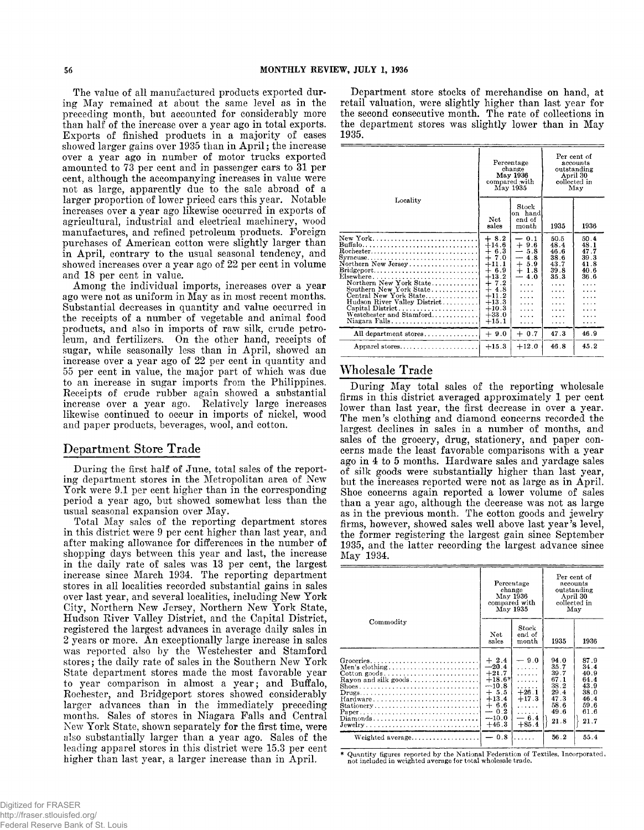The value of all manufactured products exported during May remained at about the same level as in the preceding month, but accounted for considerably more than half of the increase over a year ago in total exports. Exports of finished products in a majority of cases showed larger gains over 1935 than in April; the increase over a year ago in number of motor trucks exported amounted to 73 per cent and in passenger cars to 31 per cent, although the accompanying increases in value were not as large, apparently due to the sale abroad of a larger proportion of lower priced cars this year. Notable increases over a year ago likewise occurred in exports of agricultural, industrial and electrical machinery, wood manufactures, and refined petroleum products. Foreign purchases of American cotton were slightly larger than in April, contrary to the usual seasonal tendency, and showed increases over a year ago of 22 per cent in volume and 18 per cent in value.

Among the individual imports, increases over a year ago were not as uniform in May as in most recent months. Substantial decreases in quantity and value occurred in the receipts of a number of vegetable and animal food products, and also in imports of raw silk, crude petroleum, and fertilizers. On the other hand, receipts of sugar, while seasonally less than in April, showed an increase over a year ago of 22 per cent in quantity and 55 per cent in value, the major part of which was due to an increase in sugar imports from the Philippines. Receipts of crude rubber again showed a substantial increase over a year ago. Relatively large increases likewise continued to occur in imports of nickel, wood and paper products, beverages, wool, and cotton.

# Department Store Trade

During the first half of June, total sales of the reporting department stores in the Metropolitan area of New York were 9.1 per cent higher than in the corresponding period a year ago, but showed somewhat less than the usual seasonal expansion over May.

Total May sales of the reporting department stores in this district were 9 per cent higher than last year, and after making allowance for differences in the number of shopping days between this year and last, the increase in the daily rate of sales was 13 per cent, the largest increase since March 1934. The reporting department stores in all localities recorded substantial gains in sales over last year, and several localities, including New York City, Northern New Jersey, Northern New York State, Hudson River Valley District, and the Capital District, registered the largest advances in average daily sales in 2 years or more. An exceptionally large increase in sales was reported also by the Westchester and Stamford stores; the daily rate of sales in the Southern New York State department stores made the most favorable year to year comparison in almost a year; and Buffalo, Rochester, and Bridgeport stores showed considerably larger advances than in the immediately preceding months. Sales of stores in Niagara Falls and Central New York State, shown separately for the first time, were also substantially larger than a year ago. Sales of the leading apparel stores in this district were 15.3 per cent higher than last year, a larger increase than in April.

Department store stocks of merchandise on hand, at retail valuation, were slightly higher than last year for the second consecutive month. The rate of collections in the department stores was slightly lower than in May 1935.

|                                                                                                                                                                                                                                                                                  |                                                                                                                                                                  | Percentage<br>change<br>May 1936<br>compared with<br>May 1935                                                                                      | Per cent of<br>accounts<br>outstanding<br>April 30<br>collected in<br>May       |                                                                |  |
|----------------------------------------------------------------------------------------------------------------------------------------------------------------------------------------------------------------------------------------------------------------------------------|------------------------------------------------------------------------------------------------------------------------------------------------------------------|----------------------------------------------------------------------------------------------------------------------------------------------------|---------------------------------------------------------------------------------|----------------------------------------------------------------|--|
| Locality                                                                                                                                                                                                                                                                         | Net<br>sales                                                                                                                                                     | Stock<br>on hand<br>end of<br>month                                                                                                                | 1935                                                                            | 1936                                                           |  |
| $\rm{Rochester.}\dots\dots\dots\dots\dots\dots\dots\dots\dots\dots\dots$<br>Northern New Jersey<br>Northern New York State<br>Southern New York State<br>Central New York State<br>Hudson River Valley District<br>Capital District<br>Westchester and Stamford<br>Niagara Falls | $+8.2$<br>$+14.6$<br>6.3<br>$^{+}$<br>7.0<br>$\div$<br>$+11.1$<br>$+6.9$<br>$+13.2$<br>7.2<br>┿<br>$+4.8$<br>$+11.2$<br>$+13.3$<br>$+10.3$<br>$+33.0$<br>$+15.1$ | $-0.1$<br>$+9.6$<br>5.8<br>$\overline{\phantom{0}}$<br>4.8<br>$\overline{\phantom{0}}$<br>$+5.9$<br>$+1.8$<br>$-4.0$<br>.<br>.<br>.<br>.<br>.<br>. | 50.5<br>48.4<br>46.6<br>38.6<br>43.7<br>39.8<br>35.3<br>$\cdots$<br>.<br>.<br>. | 50.4<br>48.1<br>47.7<br>39.3<br>41.8<br>40.6<br>36.6<br>.<br>. |  |
| All department stores                                                                                                                                                                                                                                                            | $+9.0$                                                                                                                                                           | $+0.7$                                                                                                                                             | 47.3                                                                            | 46.9                                                           |  |
| Apparel stores                                                                                                                                                                                                                                                                   | $+15.3$                                                                                                                                                          | $+12.0$                                                                                                                                            | 46.8                                                                            | 45.2                                                           |  |

# Wholesale Trade

During May total sales of the reporting wholesale firms in this district averaged approximately 1 per cent lower than last year, the first decrease in over a year. The men's clothing and diamond concerns recorded the largest declines in sales in a number of months, and sales of the grocery, drug, stationery, and paper concerns made the least favorable comparisons with a year ago in 4 to 5 months. Hardware sales and yardage sales of silk goods were substantially higher than last year, but the increases reported were not as large as in April. Shoe concerns again reported a lower volume of sales than a year ago, although the decrease was not as large as in the previous month. The cotton goods and jewelry firms, however, showed sales well above last year's level, the former registering the largest gain since September 1935, and the latter recording the largest advance since May 1934.

|                                                                                                                                                                        | Percentage<br>change<br>May 1936<br>compared with<br>May 1935                                                        |                                                                                 | Per cent of<br>accounts<br>outstanding<br>April 30<br>collected in<br>May    |                                                                              |
|------------------------------------------------------------------------------------------------------------------------------------------------------------------------|----------------------------------------------------------------------------------------------------------------------|---------------------------------------------------------------------------------|------------------------------------------------------------------------------|------------------------------------------------------------------------------|
| Commodity                                                                                                                                                              | Net<br>sales                                                                                                         | Stock<br>end of<br>month                                                        | 1935                                                                         | 1936                                                                         |
| Men's clothing<br>$Cotton goods.$<br>Rayon and silk goods<br>$Drugs \ldots \ldots \ldots \ldots \ldots \ldots \ldots \ldots \ldots$<br>Hardware<br>Stationery<br>Paper | $+2.4$<br>$-20.4$<br>$+21.7$<br>$+18.6*$<br>$-10.8$<br>$+ 5.5$<br>$+13.4$<br>$+ 6.6$<br>$-0.2$<br>$-10.0$<br>$+46.3$ | $-9.0$<br>.<br>.<br>.<br>.<br>$+26.1$<br>$+17.3$<br>.<br>.<br>$-6.4$<br>$+85.4$ | 94.0<br>35.7<br>39.7<br>67.1<br>38.2<br>29.4<br>47.3<br>58.6<br>49.6<br>21.8 | 87.9<br>34.4<br>40.9<br>64.4<br>43.9<br>38.0<br>46.4<br>59.6<br>61.6<br>21.7 |
|                                                                                                                                                                        | $-0.8$                                                                                                               | .                                                                               | 56.2                                                                         | 55.4                                                                         |

Quantity figures reported by the National Federation of Textiles, Incorporated, not included in weighted average for total wholesale trade.